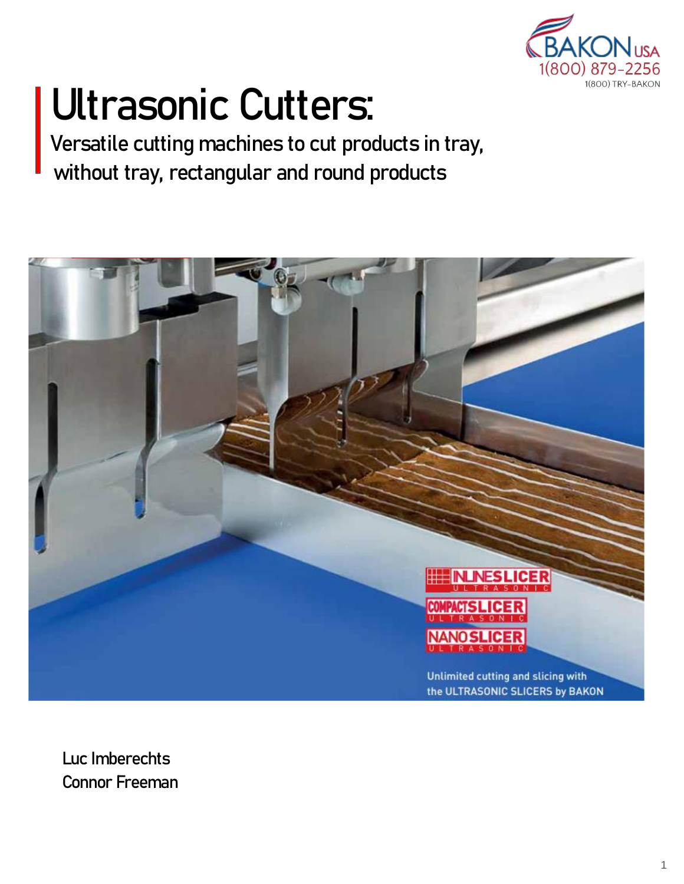

# **Ultrasonic Cutters:**

**Versatile cutting machines to cut products in tray, without tray, rectangular and round products**



**Luc Imberechts Connor Freeman**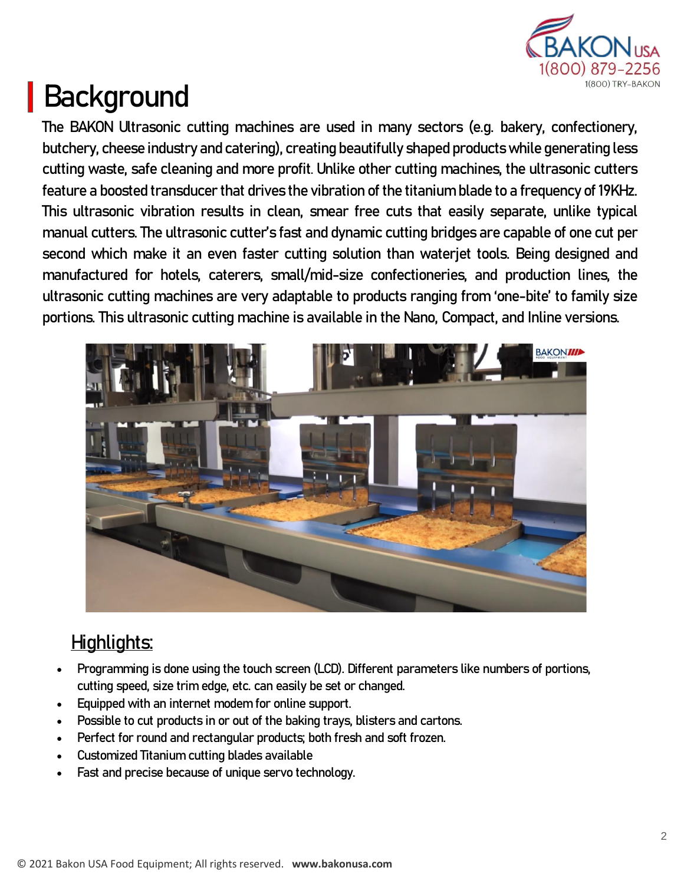

## **Background**

**The BAKON Ultrasonic cutting machines are used in many sectors (e.g. bakery, confectionery, butchery, cheese industry and catering), creating beautifully shaped products while generating less cutting waste, safe cleaning and more profit. Unlike other cutting machines, the ultrasonic cutters feature a boosted transducer that drives the vibration of the titanium blade to a frequency of 19KHz. This ultrasonic vibration results in clean, smear free cuts that easily separate, unlike typical manual cutters. The ultrasonic cutter's fast and dynamic cutting bridges are capable of one cut per second which make it an even faster cutting solution than waterjet tools. Being designed and manufactured for hotels, caterers, small/mid-size confectioneries, and production lines, the ultrasonic cutting machines are very adaptable to products ranging from 'one-bite' to family size portions. This ultrasonic cutting machine is available in the Nano, Compact, and Inline versions.**



### **Highlights:**

- **Programming is done using the touch screen (LCD). Different parameters like numbers of portions, cutting speed, size trim edge, etc. can easily be set or changed.**
- **Equipped with an internet modem for online support.**
- **Possible to cut products in or out of the baking trays, blisters and cartons.**
- **Perfect for round and rectangular products; both fresh and soft frozen.**
- **Customized Titanium cutting blades available**
- **Fast and precise because of unique servo technology.**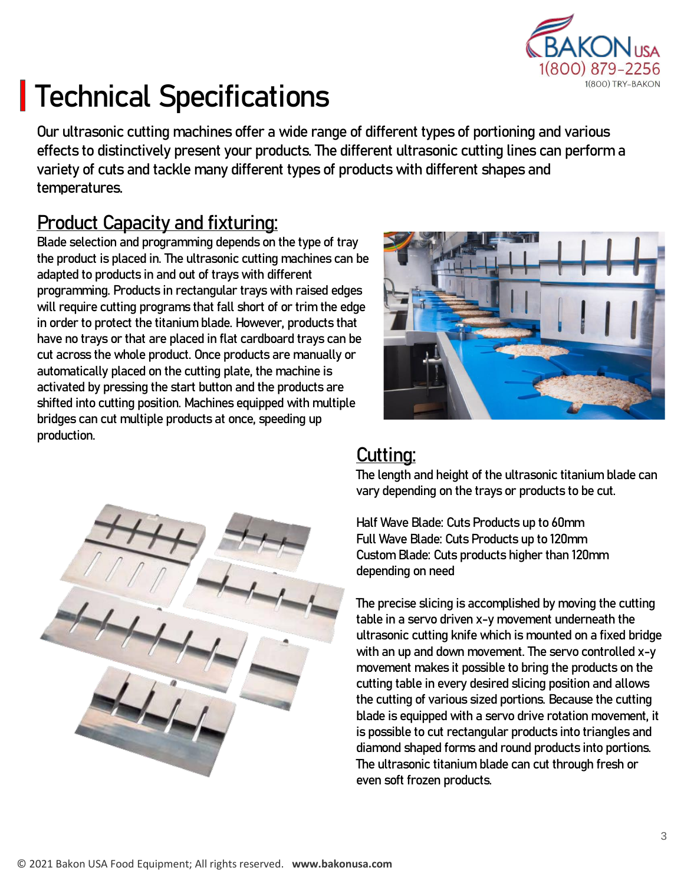

## **Technical Specifications**

**Our ultrasonic cutting machines offer a wide range of different types of portioning and various effects to distinctively present your products. The different ultrasonic cutting lines can perform a variety of cuts and tackle many different types of products with different shapes and temperatures.** 

### **Product Capacity and fixturing:**

**Blade selection and programming depends on the type of tray the product is placed in. The ultrasonic cutting machines can be adapted to products in and out of trays with different programming. Products in rectangular trays with raised edges will require cutting programs that fall short of or trim the edge in order to protect the titanium blade. However, products that have no trays or that are placed in flat cardboard trays can be cut across the whole product. Once products are manually or automatically placed on the cutting plate, the machine is activated by pressing the start button and the products are shifted into cutting position. Machines equipped with multiple bridges can cut multiple products at once, speeding up production.**





### **Cutting:**

**The length and height of the ultrasonic titanium blade can vary depending on the trays or products to be cut.** 

**Half Wave Blade: Cuts Products up to 60mm Full Wave Blade: Cuts Products up to 120mm Custom Blade: Cuts products higher than 120mm depending on need**

**The precise slicing is accomplished by moving the cutting table in a servo driven x-y movement underneath the ultrasonic cutting knife which is mounted on a fixed bridge with an up and down movement. The servo controlled x-y movement makes it possible to bring the products on the cutting table in every desired slicing position and allows the cutting of various sized portions. Because the cutting blade is equipped with a servo drive rotation movement, it is possible to cut rectangular products into triangles and diamond shaped forms and round products into portions. The ultrasonic titanium blade can cut through fresh or even soft frozen products.**